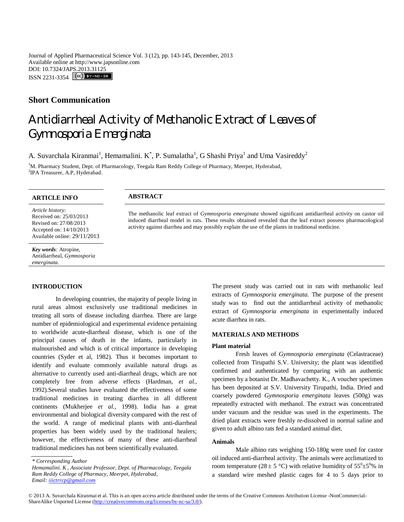Journal of Applied Pharmaceutical Science Vol. 3 (12), pp. 143-145, December, 2013 Available online at http://www.japsonline.com DOI: 10.7324/JAPS.2013.31125 ISSN 2231-3354 **CC**) BY-NO-SA

# **Short Communication**

# Antidiarrheal Activity of Methanolic Extract of Leaves of *Gymnosporia Emerginata*

A. Suvarchala Kiranmai<sup>1</sup>, Hemamalini. K<sup>\*</sup>, P. Sumalatha<sup>1</sup>, G Shashi Priya<sup>1</sup> and Uma Vasireddy<sup>2</sup>

<sup>1</sup>M. Pharmacy Student, Dept. of Pharmacology, Teegala Ram Reddy College of Pharmacy, Meerpet, Hyderabad, <sup>2</sup>IPA Treasurer, A.P, Hyderabad.

# **ARTICLE INFO ABSTRACT**

*Article history:* Received on: 25/03/2013 Revised on: 27/08/2013 Accepted on: 14/10/2013 Available online: 29/11/2013

*Key words:* Atropine, Antidiarrheal, *Gymnosporia emerginata.*

# **INTRODUCTION**

In developing countries, the majority of people living in rural areas almost exclusively use traditional medicines in treating all sorts of disease including diarrhea. There are large number of epidemiological and experimental evidence pertaining to worldwide acute-diarrheal disease, which is one of the principal causes of death in the infants, particularly in malnourished and which is of critical importance in developing countries (Syder et al, 1982). Thus it becomes important to identify and evaluate commonly available natural drugs as alternative to currently used anti-diarrheal drugs, which are not completely free from adverse effects (Hardman, *et al.,*  1992).Several studies have evaluated the effectiveness of some traditional medicines in treating diarrhea in all different continents (Mukherjee *et al.,* 1998). India has a great environmental and biological diversity compared with the rest of the world. A range of medicinal plants with anti-diarrheal properties has been widely used by the traditional healers; however, the effectiveness of many of these anti-diarrheal traditional medicines has not been scientifically evaluated. .

The present study was carried out in rats with methanolic leaf extracts of *Gymnosporia emerginata.* The purpose of the present study was to find out the antidiarrheal activity of methanolic extract of *Gymnosporia emerginata* in experimentally induced acute diarrhea in rats.

## **MATERIALS AND METHODS**

The methanolic leaf extract of *Gymnosporia emerginata* showed significant antidiarrheal activity on castor oil induced diarrheal model in rats. These results obtained revealed that the leaf extract possess pharmacological

activity against diarrhea and may possibly explain the use of the plants in traditional medicine.

## **Plant material**

Fresh leaves of *Gymnosporia emerginata* (Celastraceae) collected from Tirupathi S.V. University; the plant was identified confirmed and authenticated by comparing with an authentic specimen by a botanist Dr. Madhavachetty. K., A voucher specimen has been deposited at S.V. University Tirupathi, India. Dried and coarsely powdered *Gymnosporia emerginata* leaves (500g) was repeatedly extracted with methanol. The extract was concentrated under vacuum and the residue was used in the experiments. The dried plant extracts were freshly re-dissolved in normal saline and given to adult albino rats fed a standard animal diet.

#### **Animals**

Male albino rats weighing 150-180g were used for castor oil induced anti-diarrheal activity. The animals were acclimatized to room temperature (28  $\pm$  5 °C) with relative humidity of 55<sup>0</sup> $\pm$ 5<sup>0</sup>% in a standard wire meshed plastic cages for 4 to 5 days prior to

. *\* Corresponding Author*

*Hemamalini. K , Associate Professor, Dept. of Pharmacology, Teegala Ram Reddy College of Pharmacy, Meerpet, Hyderabad, Email: iiictrrcp@gmail.com*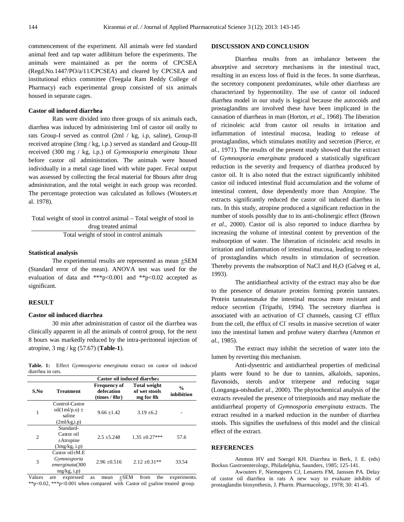commencement of the experiment. All animals were fed standard animal feed and tap water adlibitum before the experiments. The animals were maintained as per the norms of CPCSEA (Regd.No.1447/PO/a/11/CPCSEA) and cleared by CPCSEA and institutional ethics committee (Teegala Ram Reddy College of Pharmacy) each experimental group consisted of six animals housed in separate cages.

#### **Castor oil induced diarrhea**

Rats were divided into three groups of six animals each, diarrhea was induced by administering 1ml of castor oil orally to rats Group-I served as control (2ml / kg, i.p, saline), Group-II received atropine (3mg / kg, i.p.) served as standard and Group-III received (300 mg / kg, i.p.) of *Gymnosporia emerginata* 1hour before castor oil administration. The animals were housed individually in a metal cage lined with white paper. Fecal output was assessed by collecting the fecal material for 8hours after drug administration, and the total weight in each group was recorded. The percentage protection was calculated as follows (Wouters.et al. 1978).

| Total weight of stool in control animal – Total weight of stool in |
|--------------------------------------------------------------------|
| drug treated animal                                                |
| Total weight of stool in control animals                           |

#### **Statistical analysis**

The experimental results are represented as mean ±SEM (Standard error of the mean). ANOVA test was used for the evaluation of data and \*\*\*p<0.001 and \*\*p<0.02 accepted as significant.

#### **RESULT**

## **Castor oil induced diarrhea**

30 min after administration of castor oil the diarrhea was clinically apparent in all the animals of control group, for the next 8 hours was markedly reduced by the intra-peritoneal injection of atropine, 3 mg / kg (57.67) (**Table-1**).

|                   |  | Table. 1: Effect Gymnosporia emerginata extract on castor oil induced |  |  |  |
|-------------------|--|-----------------------------------------------------------------------|--|--|--|
| diarrhea in rats. |  |                                                                       |  |  |  |

|      | Castor oil induced diarrhea                                         |                                                    |                                                   |                             |  |  |  |  |
|------|---------------------------------------------------------------------|----------------------------------------------------|---------------------------------------------------|-----------------------------|--|--|--|--|
| S.No | Treatment                                                           | <b>Frequency of</b><br>defecation<br>(times / 8hr) | <b>Total weight</b><br>of wet stools<br>mg for 8h | $\frac{0}{0}$<br>inhibition |  |  |  |  |
| 1    | Control-Castor<br>oil $(1ml/p.o)$ ±<br>saline<br>(2ml/kg,i.p)       | $9.66 + 1.42$                                      | $3.19 + 6.2$                                      |                             |  |  |  |  |
| 2    | Standard-<br>Castor oil<br>$\pm$ Atropine<br>(3mg/kg, i.p)          | $2.5 \pm 5.248$                                    | $1.35 \pm 0.27***$                                | 57.6                        |  |  |  |  |
| 3    | Castor $oil+M.E$<br>Gymnosporia<br>emerginata(300<br>$mg/kg$ , i.p) | $2.96 + 0.516$                                     | $2.12 + 0.31**$                                   | 33.54                       |  |  |  |  |

Values are expressed as mean ±SEM from the experiments. \*\*p<0.02, \*\*\*p<0.001 when compared with Castor oil  $\pm$ saline treated group.

#### **DISCUSSION AND CONCLUSION**

Diarrhea results from an imbalance between the absorptive and secretory mechanisms in the intestinal tract, resulting in an excess loss of fluid in the feces. In some diarrheas, the secretory component predominates, while other diarrheas are characterized by hypermotility. The use of castor oil induced diarrhea model in our study is logical because the autocoids and prostaglandins are involved these have been implicated in the causation of diarrheas in man (Horton, *et al.,* 1968). The liberation of ricinoleic acid from castor oil results in irritation and inflammation of intestinal mucosa, leading to release of prostaglandins, which stimulates motility and secretion (Pierce, *et al.,* 1971). The results of the present study showed that the extract of *Gymnosporia emerginata* produced a statistically significant reduction in the severity and frequency of diarrhea produced by castor oil. It is also noted that the extract significantly inhibited castor oil induced intestinal fluid accumulation and the volume of intestinal content, dose dependently more than Atropine. The extracts significantly reduced the castor oil induced diarrhea in rats. In this study, atropine produced a significant reduction in the number of stools possibly due to its anti-cholinergic effect (Brown *et al.,* 2000). Castor oil is also reported to induce diarrhea by increasing the volume of intestinal content by prevention of the reabsorption of water. The liberation of ricinoleic acid results in irritation and inflammation of intestinal mucosa, leading to release of prostaglandins which results in stimulation of secreation. Thereby prevents the reabsorption of NaCl and  $H<sub>2</sub>O$  (Galveg et al, 1993).

The antidiarrheal activity of the extract may also be due to the presence of denature proteins forming protein tannates. Protein tannatesmake the intestinal mucosa more resistant and reduce secretion (Tripathi, 1994). The secretory diarrhea is associated with an activation of Cl channels, causing Cl efflux from the cell, the efflux of Cl results in massive secretion of water into the intestinal lumen and profuse watery diarrhea (Ammon *et al.,* 1985).

The extract may inhibit the secretion of water into the lumen by reverting this mechanism.

Anti-dysentric and antidiarrheal properties of medicinal plants were found to be due to tannins, alkaloids, saponins, flavonoids, sterols and/or triterpene and reducing sugar (Longanga-otshudi*et al.,* 2000). The phytochemical analysis of the extracts revealed the presence of triterpinoids and may mediate the antidiarrheal property of *Gymnosporia emerginata* extracts. The extract resulted in a marked reduction in the number of diarrhea stools. This signifies the usefulness of this model and the clinical effect of the extract.

#### **REFERENCES**

Ammon HV and Soergel KH. Diarrhea in Berk, J. E. (eds) Bockus Gastroenterology, Philadelphia, Saunders, 1985; 125-141.

Awouters F, Niemegeers CJ, Lenaerts FM, Janssen PA. Delay of castor oil diarrhea in rats A new way to evaluate inhibits of prostaglandin biosynthesis, J. Pharm. Pharmacology, 1978; 30: 41-45.